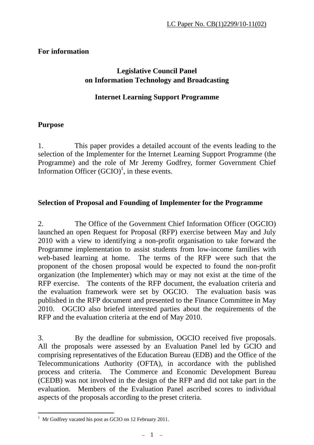## **For information**

# **Legislative Council Panel on Information Technology and Broadcasting**

## **Internet Learning Support Programme**

#### **Purpose**

1. This paper provides a detailed account of the events leading to the selection of the Implementer for the Internet Learning Support Programme (the Programme) and the role of Mr Jeremy Godfrey, former Government Chief Information Officer  $(GCIO)^1$ , in these events.

#### **Selection of Proposal and Founding of Implementer for the Programme**

2. The Office of the Government Chief Information Officer (OGCIO) launched an open Request for Proposal (RFP) exercise between May and July 2010 with a view to identifying a non-profit organisation to take forward the Programme implementation to assist students from low-income families with web-based learning at home. The terms of the RFP were such that the proponent of the chosen proposal would be expected to found the non-profit organization (the Implementer) which may or may not exist at the time of the RFP exercise. The contents of the RFP document, the evaluation criteria and the evaluation framework were set by OGCIO. The evaluation basis was published in the RFP document and presented to the Finance Committee in May 2010. OGCIO also briefed interested parties about the requirements of the RFP and the evaluation criteria at the end of May 2010.

3. By the deadline for submission, OGCIO received five proposals. All the proposals were assessed by an Evaluation Panel led by GCIO and comprising representatives of the Education Bureau (EDB) and the Office of the Telecommunications Authority (OFTA), in accordance with the published process and criteria. The Commerce and Economic Development Bureau (CEDB) was not involved in the design of the RFP and did not take part in the evaluation. Members of the Evaluation Panel ascribed scores to individual aspects of the proposals according to the preset criteria.

-

<sup>&</sup>lt;sup>1</sup> Mr Godfrey vacated his post as GCIO on 12 February 2011.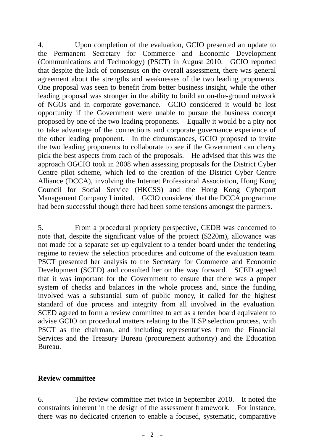4. Upon completion of the evaluation, GCIO presented an update to the Permanent Secretary for Commerce and Economic Development (Communications and Technology) (PSCT) in August 2010. GCIO reported that despite the lack of consensus on the overall assessment, there was general agreement about the strengths and weaknesses of the two leading proponents. One proposal was seen to benefit from better business insight, while the other leading proposal was stronger in the ability to build an on-the-ground network of NGOs and in corporate governance. GCIO considered it would be lost opportunity if the Government were unable to pursue the business concept proposed by one of the two leading proponents. Equally it would be a pity not to take advantage of the connections and corporate governance experience of the other leading proponent. In the circumstances, GCIO proposed to invite the two leading proponents to collaborate to see if the Government can cherry pick the best aspects from each of the proposals. He advised that this was the approach OGCIO took in 2008 when assessing proposals for the District Cyber Centre pilot scheme, which led to the creation of the District Cyber Centre Alliance (DCCA), involving the Internet Professional Association, Hong Kong Council for Social Service (HKCSS) and the Hong Kong Cyberport Management Company Limited. GCIO considered that the DCCA programme had been successful though there had been some tensions amongst the partners.

5. From a procedural propriety perspective, CEDB was concerned to note that, despite the significant value of the project (\$220m), allowance was not made for a separate set-up equivalent to a tender board under the tendering regime to review the selection procedures and outcome of the evaluation team. PSCT presented her analysis to the Secretary for Commerce and Economic Development (SCED) and consulted her on the way forward. SCED agreed that it was important for the Government to ensure that there was a proper system of checks and balances in the whole process and, since the funding involved was a substantial sum of public money, it called for the highest standard of due process and integrity from all involved in the evaluation. SCED agreed to form a review committee to act as a tender board equivalent to advise GCIO on procedural matters relating to the ILSP selection process, with PSCT as the chairman, and including representatives from the Financial Services and the Treasury Bureau (procurement authority) and the Education Bureau.

#### **Review committee**

6. The review committee met twice in September 2010. It noted the constraints inherent in the design of the assessment framework. For instance, there was no dedicated criterion to enable a focused, systematic, comparative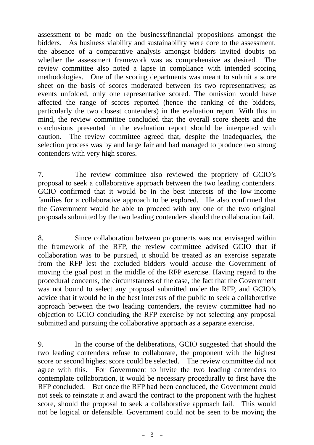assessment to be made on the business/financial propositions amongst the bidders. As business viability and sustainability were core to the assessment, the absence of a comparative analysis amongst bidders invited doubts on whether the assessment framework was as comprehensive as desired. The review committee also noted a lapse in compliance with intended scoring methodologies. One of the scoring departments was meant to submit a score sheet on the basis of scores moderated between its two representatives; as events unfolded, only one representative scored. The omission would have affected the range of scores reported (hence the ranking of the bidders, particularly the two closest contenders) in the evaluation report. With this in mind, the review committee concluded that the overall score sheets and the conclusions presented in the evaluation report should be interpreted with caution. The review committee agreed that, despite the inadequacies, the selection process was by and large fair and had managed to produce two strong contenders with very high scores.

7. The review committee also reviewed the propriety of GCIO's proposal to seek a collaborative approach between the two leading contenders. GCIO confirmed that it would be in the best interests of the low-income families for a collaborative approach to be explored. He also confirmed that the Government would be able to proceed with any one of the two original proposals submitted by the two leading contenders should the collaboration fail.

8. Since collaboration between proponents was not envisaged within the framework of the RFP, the review committee advised GCIO that if collaboration was to be pursued, it should be treated as an exercise separate from the RFP lest the excluded bidders would accuse the Government of moving the goal post in the middle of the RFP exercise. Having regard to the procedural concerns, the circumstances of the case, the fact that the Government was not bound to select any proposal submitted under the RFP, and GCIO's advice that it would be in the best interests of the public to seek a collaborative approach between the two leading contenders, the review committee had no objection to GCIO concluding the RFP exercise by not selecting any proposal submitted and pursuing the collaborative approach as a separate exercise.

9. In the course of the deliberations, GCIO suggested that should the two leading contenders refuse to collaborate, the proponent with the highest score or second highest score could be selected. The review committee did not agree with this. For Government to invite the two leading contenders to contemplate collaboration, it would be necessary procedurally to first have the RFP concluded. But once the RFP had been concluded, the Government could not seek to reinstate it and award the contract to the proponent with the highest score, should the proposal to seek a collaborative approach fail. This would not be logical or defensible. Government could not be seen to be moving the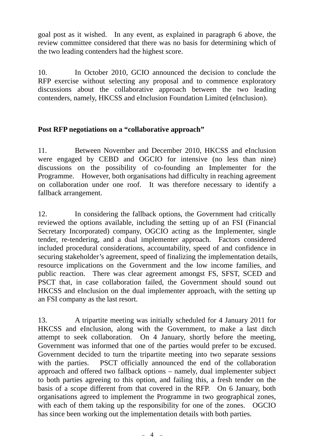goal post as it wished. In any event, as explained in paragraph 6 above, the review committee considered that there was no basis for determining which of the two leading contenders had the highest score.

10. In October 2010, GCIO announced the decision to conclude the RFP exercise without selecting any proposal and to commence exploratory discussions about the collaborative approach between the two leading contenders, namely, HKCSS and eInclusion Foundation Limited (eInclusion).

## **Post RFP negotiations on a "collaborative approach"**

11. Between November and December 2010, HKCSS and eInclusion were engaged by CEBD and OGCIO for intensive (no less than nine) discussions on the possibility of co-founding an Implementer for the Programme. However, both organisations had difficulty in reaching agreement on collaboration under one roof. It was therefore necessary to identify a fallback arrangement.

12. In considering the fallback options, the Government had critically reviewed the options available, including the setting up of an FSI (Financial Secretary Incorporated) company, OGCIO acting as the Implementer, single tender, re-tendering, and a dual implementer approach. Factors considered included procedural considerations, accountability, speed of and confidence in securing stakeholder's agreement, speed of finalizing the implementation details, resource implications on the Government and the low income families, and public reaction. There was clear agreement amongst FS, SFST, SCED and PSCT that, in case collaboration failed, the Government should sound out HKCSS and eInclusion on the dual implementer approach, with the setting up an FSI company as the last resort.

13. A tripartite meeting was initially scheduled for 4 January 2011 for HKCSS and eInclusion, along with the Government, to make a last ditch attempt to seek collaboration. On 4 January, shortly before the meeting, Government was informed that one of the parties would prefer to be excused. Government decided to turn the tripartite meeting into two separate sessions with the parties. PSCT officially announced the end of the collaboration approach and offered two fallback options – namely, dual implementer subject to both parties agreeing to this option, and failing this, a fresh tender on the basis of a scope different from that covered in the RFP. On 6 January, both organisations agreed to implement the Programme in two geographical zones, with each of them taking up the responsibility for one of the zones. OGCIO has since been working out the implementation details with both parties.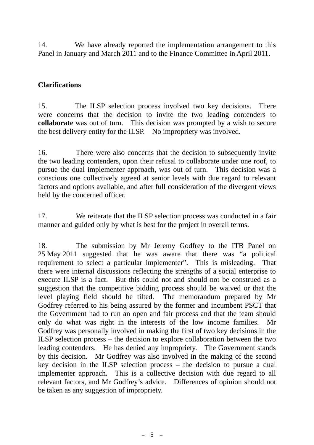14. We have already reported the implementation arrangement to this Panel in January and March 2011 and to the Finance Committee in April 2011.

### **Clarifications**

15. The ILSP selection process involved two key decisions. There were concerns that the decision to invite the two leading contenders to **collaborate** was out of turn. This decision was prompted by a wish to secure the best delivery entity for the ILSP. No impropriety was involved.

16. There were also concerns that the decision to subsequently invite the two leading contenders, upon their refusal to collaborate under one roof, to pursue the dual implementer approach, was out of turn. This decision was a conscious one collectively agreed at senior levels with due regard to relevant factors and options available, and after full consideration of the divergent views held by the concerned officer.

17. We reiterate that the ILSP selection process was conducted in a fair manner and guided only by what is best for the project in overall terms.

18. The submission by Mr Jeremy Godfrey to the ITB Panel on 25 May 2011 suggested that he was aware that there was "a political requirement to select a particular implementer". This is misleading. That there were internal discussions reflecting the strengths of a social enterprise to execute ILSP is a fact. But this could not and should not be construed as a suggestion that the competitive bidding process should be waived or that the level playing field should be tilted. The memorandum prepared by Mr Godfrey referred to his being assured by the former and incumbent PSCT that the Government had to run an open and fair process and that the team should only do what was right in the interests of the low income families. Mr Godfrey was personally involved in making the first of two key decisions in the ILSP selection process – the decision to explore collaboration between the two leading contenders. He has denied any impropriety. The Government stands by this decision. Mr Godfrey was also involved in the making of the second key decision in the ILSP selection process – the decision to pursue a dual implementer approach. This is a collective decision with due regard to all relevant factors, and Mr Godfrey's advice. Differences of opinion should not be taken as any suggestion of impropriety.